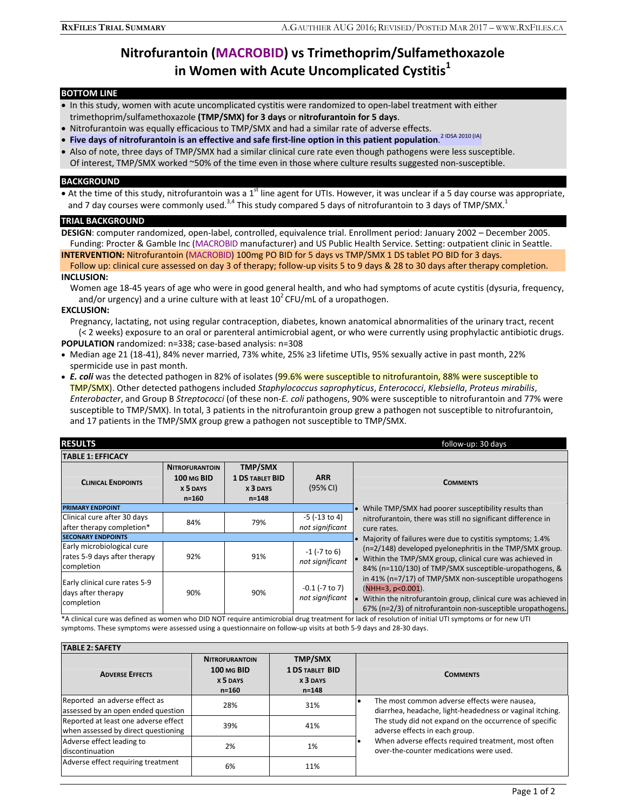# **Nitrofurantoin (MACROBID) vs Trimethoprim/Sulfamethoxazole**  in Women with Acute Uncomplicated Cystitis<sup>1</sup>

### **BOTTOM LINE**

- In this study, women with acute uncomplicated cystitis were randomized to open-label treatment with either trimethoprim/sulfamethoxazole **(TMP/SMX) for 3 days** or **nitrofurantoin for 5 days**.
- Nitrofurantoin was equally efficacious to TMP/SMX and had a similar rate of adverse effects.
- Five days of nitrofurantoin is an effective and safe first-line option in this patient population.<sup>2 IDSA 2010</sup><sup>(IA)</sup>
- Also of note, three days of TMP/SMX had a similar clinical cure rate even though pathogens were less susceptible. Of interest, TMP/SMX worked ~50% of the time even in those where culture results suggested non‐susceptible.

### **BACKGROUND**

• At the time of this study, nitrofurantoin was a 1<sup>st</sup> line agent for UTIs. However, it was unclear if a 5 day course was appropriate, and 7 day courses were commonly used.<sup>3,4</sup> This study compared 5 days of nitrofurantoin to 3 days of TMP/SMX.<sup>1</sup>

# **TRIAL BACKGROUND**

**DESIGN**: computer randomized, open‐label, controlled, equivalence trial. Enrollment period: January 2002 – December 2005. Funding: Procter & Gamble Inc (MACROBID manufacturer) and US Public Health Service. Setting: outpatient clinic in Seattle.

**INTERVENTION:** Nitrofurantoin (MACROBID) 100mg PO BID for 5 days vs TMP/SMX 1 DS tablet PO BID for 3 days.

Follow up: clinical cure assessed on day 3 of therapy; follow-up visits 5 to 9 days & 28 to 30 days after therapy completion. **INCLUSION:**

Women age 18‐45 years of age who were in good general health, and who had symptoms of acute cystitis (dysuria, frequency, and/or urgency) and a urine culture with at least  $10^2$  CFU/mL of a uropathogen.

# **EXCLUSION:**

Pregnancy, lactating, not using regular contraception, diabetes, known anatomical abnormalities of the urinary tract, recent (< 2 weeks) exposure to an oral or parenteral antimicrobial agent, or who were currently using prophylactic antibiotic drugs. **POPULATION** randomized: n=338; case‐based analysis: n=308

- Median age 21 (18‐41), 84% never married, 73% white, 25% ≥3 lifetime UTIs, 95% sexually active in past month, 22% spermicide use in past month.
- *E. coli* was the detected pathogen in 82% of isolates (99.6% were susceptible to nitrofurantoin, 88% were susceptible to TMP/SMX). Other detected pathogens included *Staphylococcus saprophyticus*, *Enterococci*, *Klebsiella*, *Proteus mirabilis*, *Enterobacter*, and Group B *Streptococci* (of these non‐*E. coli* pathogens, 90% were susceptible to nitrofurantoin and 77% were susceptible to TMP/SMX). In total, 3 patients in the nitrofurantoin group grew a pathogen not susceptible to nitrofurantoin, and 17 patients in the TMP/SMX group grew a pathogen not susceptible to TMP/SMX.

| <b>RESULTS</b>                                                           |                                                                                | follow-up: 30 days                                                       |                                                          |                                                                                                                                                                                                                                                                                                                                                                                                   |
|--------------------------------------------------------------------------|--------------------------------------------------------------------------------|--------------------------------------------------------------------------|----------------------------------------------------------|---------------------------------------------------------------------------------------------------------------------------------------------------------------------------------------------------------------------------------------------------------------------------------------------------------------------------------------------------------------------------------------------------|
| <b>TABLE 1: EFFICACY</b>                                                 |                                                                                |                                                                          |                                                          |                                                                                                                                                                                                                                                                                                                                                                                                   |
| <b>CLINICAL ENDPOINTS</b>                                                | <b>NITROFURANTOIN</b><br><b>100 MG BID</b><br>X <sub>5</sub> DAYS<br>$n = 160$ | <b>TMP/SMX</b><br><b>1 DS TABLET BID</b><br><b>X 3 DAYS</b><br>$n = 148$ | <b>ARR</b><br>(95% CI)                                   | <b>COMMENTS</b>                                                                                                                                                                                                                                                                                                                                                                                   |
| <b>PRIMARY ENDPOINT</b>                                                  |                                                                                | While TMP/SMX had poorer susceptibility results than                     |                                                          |                                                                                                                                                                                                                                                                                                                                                                                                   |
| Clinical cure after 30 days<br>after therapy completion*                 | 84%                                                                            | 79%                                                                      | $-5$ ( $-13$ to 4)<br>not significant                    | nitrofurantoin, there was still no significant difference in<br>cure rates.                                                                                                                                                                                                                                                                                                                       |
| <b>SECONARY ENDPOINTS</b>                                                |                                                                                |                                                                          | Majority of failures were due to cystitis symptoms; 1.4% |                                                                                                                                                                                                                                                                                                                                                                                                   |
| Early microbiological cure<br>rates 5-9 days after therapy<br>completion | 92%                                                                            | 91%                                                                      | $-1$ ( $-7$ to 6)<br>not significant                     | (n=2/148) developed pyelonephritis in the TMP/SMX group.<br>Within the TMP/SMX group, clinical cure was achieved in<br>84% (n=110/130) of TMP/SMX susceptible-uropathogens, &<br>in 41% (n=7/17) of TMP/SMX non-susceptible uropathogens<br>$(NHH=3, p<0.001)$ .<br>Within the nitrofurantoin group, clinical cure was achieved in<br>67% (n=2/3) of nitrofurantoin non-susceptible uropathogens. |
| Early clinical cure rates 5-9<br>days after therapy<br>completion        | 90%                                                                            | 90%                                                                      | $-0.1$ ( $-7$ to 7)<br>not significant                   |                                                                                                                                                                                                                                                                                                                                                                                                   |

\*A clinical cure was defined as women who DID NOT require antimicrobial drug treatment for lack of resolution of initial UTI symptoms or for new UTI symptoms. These symptoms were assessed using a questionnaire on follow-up visits at both 5-9 days and 28-30 days.

| <b>TABLE 2: SAFETY</b>                                                      |                                                                     |                                                                              |                                                                                                                                                                                                                                                                                                        |  |  |
|-----------------------------------------------------------------------------|---------------------------------------------------------------------|------------------------------------------------------------------------------|--------------------------------------------------------------------------------------------------------------------------------------------------------------------------------------------------------------------------------------------------------------------------------------------------------|--|--|
| <b>ADVERSE EFFECTS</b>                                                      | <b>NITROFURANTOIN</b><br>100 MG BID<br><b>X 5 DAYS</b><br>$n = 160$ | <b>TMP/SMX</b><br><b>1 DS TABLET BID</b><br>X <sub>3</sub> DAYS<br>$n = 148$ | <b>COMMENTS</b>                                                                                                                                                                                                                                                                                        |  |  |
| Reported an adverse effect as<br>assessed by an open ended question         | 28%                                                                 | 31%                                                                          | The most common adverse effects were nausea,<br>diarrhea, headache, light-headedness or vaginal itching.<br>The study did not expand on the occurrence of specific<br>adverse effects in each group.<br>When adverse effects required treatment, most often<br>over-the-counter medications were used. |  |  |
| Reported at least one adverse effect<br>when assessed by direct questioning | 39%                                                                 | 41%                                                                          |                                                                                                                                                                                                                                                                                                        |  |  |
| Adverse effect leading to<br>discontinuation                                | 2%                                                                  | 1%                                                                           |                                                                                                                                                                                                                                                                                                        |  |  |
| Adverse effect requiring treatment                                          | 6%                                                                  | 11%                                                                          |                                                                                                                                                                                                                                                                                                        |  |  |